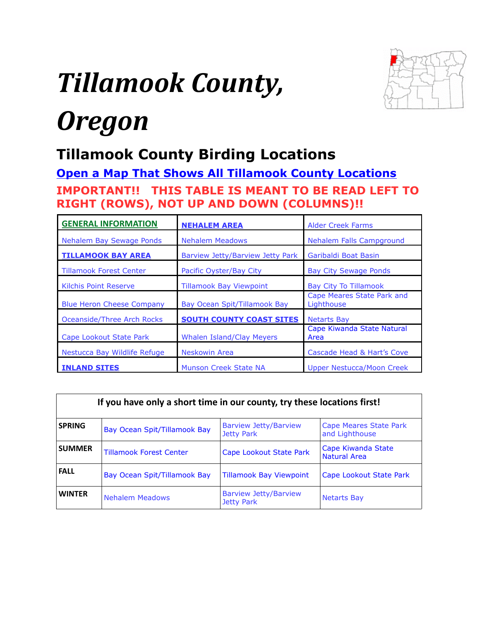# <span id="page-0-0"></span>*Tillamook County, Oregon*



# **Tillamook County Birding Locations**

**[Open a Map That Shows All Tillamook County Locations](https://www.google.com/maps/d/edit?mid=zVl1oTDALjf4.k4tq0CLmo-fY&usp=sharing) IMPORTANT!! THIS TABLE IS MEANT TO BE READ LEFT TO RIGHT (ROWS), NOT UP AND DOWN (COLUMNS)!!**

| <b>GENERAL INFORMATION</b>       | <b>NEHALEM AREA</b>              | <b>Alder Creek Farms</b>                 |
|----------------------------------|----------------------------------|------------------------------------------|
| Nehalem Bay Sewage Ponds         | <b>Nehalem Meadows</b>           | <b>Nehalem Falls Campground</b>          |
| <b>TILLAMOOK BAY AREA</b>        | Barview Jetty/Barview Jetty Park | Garibaldi Boat Basin                     |
| <b>Tillamook Forest Center</b>   | Pacific Oyster/Bay City          | <b>Bay City Sewage Ponds</b>             |
| <b>Kilchis Point Reserve</b>     | <b>Tillamook Bay Viewpoint</b>   | <b>Bay City To Tillamook</b>             |
| <b>Blue Heron Cheese Company</b> | Bay Ocean Spit/Tillamook Bay     | Cape Meares State Park and<br>Lighthouse |
| Oceanside/Three Arch Rocks       | <b>SOUTH COUNTY COAST SITES</b>  | <b>Netarts Bay</b>                       |
| Cape Lookout State Park          | <b>Whalen Island/Clay Meyers</b> | Cape Kiwanda State Natural<br>Area       |
| Nestucca Bay Wildlife Refuge     | <b>Neskowin Area</b>             | Cascade Head & Hart's Cove               |
| <b>INLAND SITES</b>              | <b>Munson Creek State NA</b>     | Upper Nestucca/Moon Creek                |

| If you have only a short time in our county, try these locations first! |                                |                                            |                                           |  |
|-------------------------------------------------------------------------|--------------------------------|--------------------------------------------|-------------------------------------------|--|
| <b>SPRING</b>                                                           | Bay Ocean Spit/Tillamook Bay   | <b>Barview Jetty/Barview</b><br>Jetty Park | Cape Meares State Park<br>and Lighthouse  |  |
| <b>SUMMER</b>                                                           | <b>Tillamook Forest Center</b> | Cape Lookout State Park                    | Cape Kiwanda State<br><b>Natural Area</b> |  |
| <b>FALL</b>                                                             | Bay Ocean Spit/Tillamook Bay   | <b>Tillamook Bay Viewpoint</b>             | Cape Lookout State Park                   |  |
| <b>WINTER</b>                                                           | <b>Nehalem Meadows</b>         | Barview Jetty/Barview<br><b>Jetty Park</b> | <b>Netarts Bay</b>                        |  |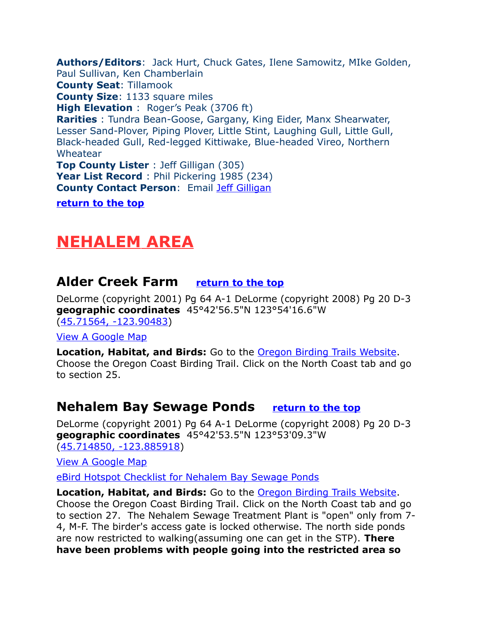<span id="page-1-3"></span>**Authors/Editors**: Jack Hurt, Chuck Gates, Ilene Samowitz, MIke Golden, Paul Sullivan, Ken Chamberlain **County Seat**: Tillamook **County Size**: 1133 square miles **High Elevation** : Roger's Peak (3706 ft) **Rarities** : Tundra Bean-Goose, Gargany, King Eider, Manx Shearwater, Lesser Sand-Plover, Piping Plover, Little Stint, Laughing Gull, Little Gull, Black-headed Gull, Red-legged Kittiwake, Blue-headed Vireo, Northern Wheatear **Top County Lister** : Jeff Gilligan (305) **Year List Record** : Phil Pickering 1985 (234) **County Contact Person**: Email [Jeff Gilligan](mailto:jeffgilligan10@gmail.com) **[return to the top](#page-0-0)**

# <span id="page-1-2"></span> **NEHALEM AREA**

#### <span id="page-1-1"></span>**Alder Creek Farm [return to the top](#page-0-0)**

DeLorme (copyright 2001) Pg 64 A-1 DeLorme (copyright 2008) Pg 20 D-3 **geographic coordinates** 45°42'56.5"N 123°54'16.6"W [\(45.71564, -123.90483\)](https://www.google.com/maps/place/45%C2%B042)

[View A Google Map](http://maps.google.com/maps/ms?hl=en&ie=UTF8&msa=0&msid=108036481085398338899.00046ec58859229c90ee7&ll=45.719724,-123.821411&spn=0.091444,0.264187&z=12)

**Location, Habitat, and Birds:** Go to the [Oregon Birding Trails Website.](http://www.oregonbirdingtrails.org/) Choose the Oregon Coast Birding Trail. Click on the North Coast tab and go to section 25.

#### <span id="page-1-0"></span>**Nehalem Bay Sewage Ponds [return to the top](#page-0-0)**

DeLorme (copyright 2001) Pg 64 A-1 DeLorme (copyright 2008) Pg 20 D-3 **geographic coordinates** 45°42'53.5"N 123°53'09.3"W [\(45.714850, -123.885918\)](https://www.google.com/maps/place/45%C2%B042)

[View A Google Map](http://maps.google.com/maps/ms?hl=en&ie=UTF8&msa=0&msid=108036481085398338899.00046ec58859229c90ee7&ll=45.719724,-123.821411&spn=0.091444,0.264187&z=12)

[eBird Hotspot Checklist for Nehalem Bay Sewage Ponds](http://ebird.org/ebird/hotspot/L814926)

**Location, Habitat, and Birds:** Go to the [Oregon Birding Trails Website.](http://www.oregonbirdingtrails.org/) Choose the Oregon Coast Birding Trail. Click on the North Coast tab and go to section 27. The Nehalem Sewage Treatment Plant is "open" only from 7- 4, M-F. The birder's access gate is locked otherwise. The north side ponds are now restricted to walking(assuming one can get in the STP). **There have been problems with people going into the restricted area so**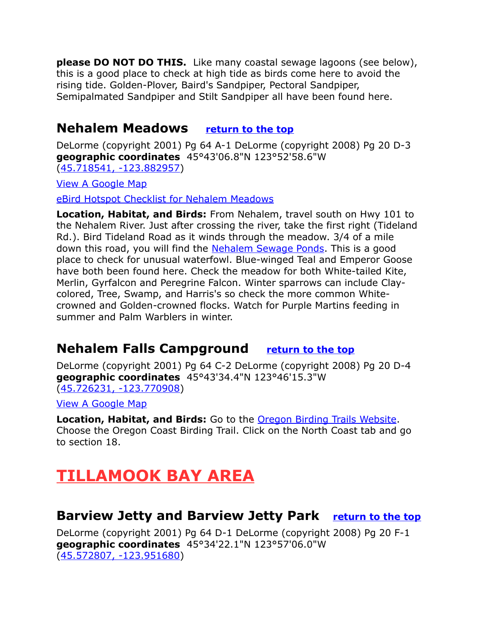**please DO NOT DO THIS.** Like many coastal sewage lagoons (see below), this is a good place to check at high tide as birds come here to avoid the rising tide. Golden-Plover, Baird's Sandpiper, Pectoral Sandpiper, Semipalmated Sandpiper and Stilt Sandpiper all have been found here.

#### <span id="page-2-1"></span>**Nehalem Meadows [return to the top](#page-0-0)**

DeLorme (copyright 2001) Pg 64 A-1 DeLorme (copyright 2008) Pg 20 D-3 **geographic coordinates** 45°43'06.8"N 123°52'58.6"W [\(45.718541, -123.882957\)](https://www.google.com/maps/place/45%C2%B043)

[View A Google Map](http://maps.google.com/maps/ms?hl=en&ie=UTF8&msa=0&msid=108036481085398338899.00046ec58859229c90ee7&ll=45.719724,-123.821411&spn=0.091444,0.264187&z=12)

[eBird Hotspot Checklist for Nehalem Meadows](http://ebird.org/ebird/hotspot/L285641)

**Location, Habitat, and Birds:** From Nehalem, travel south on Hwy 101 to the Nehalem River. Just after crossing the river, take the first right (Tideland Rd.). Bird Tideland Road as it winds through the meadow. 3/4 of a mile down this road, you will find the [Nehalem Sewage Ponds.](#page-1-0) This is a good place to check for unusual waterfowl. Blue-winged Teal and Emperor Goose have both been found here. Check the meadow for both White-tailed Kite, Merlin, Gyrfalcon and Peregrine Falcon. Winter sparrows can include Claycolored, Tree, Swamp, and Harris's so check the more common Whitecrowned and Golden-crowned flocks. Watch for Purple Martins feeding in summer and Palm Warblers in winter.

## <span id="page-2-3"></span>**Nehalem Falls Campground [return to the top](#page-0-0)**

DeLorme (copyright 2001) Pg 64 C-2 DeLorme (copyright 2008) Pg 20 D-4 **geographic coordinates** 45°43'34.4"N 123°46'15.3"W [\(45.726231, -123.770908\)](https://www.google.com/maps/place/45%C2%B043)

[View A Google Map](http://maps.google.com/maps/ms?hl=en&ie=UTF8&msa=0&msid=108036481085398338899.00046ec58859229c90ee7&ll=45.719724,-123.821411&spn=0.091444,0.264187&z=12)

**Location, Habitat, and Birds:** Go to the [Oregon Birding Trails Website.](http://www.oregonbirdingtrails.org/) Choose the Oregon Coast Birding Trail. Click on the North Coast tab and go to section 18.

# <span id="page-2-2"></span>**TILLAMOOK BAY AREA**

## <span id="page-2-0"></span>**Barview Jetty and Barview Jetty Park [return to the top](#page-0-0)**

DeLorme (copyright 2001) Pg 64 D-1 DeLorme (copyright 2008) Pg 20 F-1 **geographic coordinates** 45°34'22.1"N 123°57'06.0"W [\(45.572807, -123.951680\)](https://www.google.com/maps/place/45%C2%B034)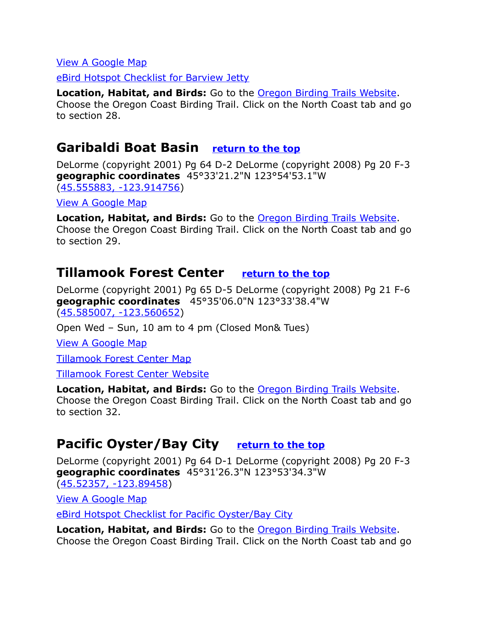#### [View A Google Map](http://maps.google.com/maps/ms?hl=en&ie=UTF8&msa=0&msid=108036481085398338899.00046b3a9db08c9bbf540&ll=45.470725,-123.850937&spn=0.340438,0.55481&z=11)

[eBird Hotspot Checklist for Barview Jetty](http://ebird.org/ebird/hotspot/L286501)

**Location, Habitat, and Birds:** Go to the [Oregon Birding Trails Website.](http://www.oregonbirdingtrails.org/) Choose the Oregon Coast Birding Trail. Click on the North Coast tab and go to section 28.

## <span id="page-3-2"></span>**Garibaldi Boat Basin [return to the top](#page-0-0)**

DeLorme (copyright 2001) Pg 64 D-2 DeLorme (copyright 2008) Pg 20 F-3 **geographic coordinates** 45°33'21.2"N 123°54'53.1"W [\(45.555883, -123.914756\)](https://www.google.com/maps/place/45%C2%B033)

[View A Google Map](http://maps.google.com/maps/ms?hl=en&ie=UTF8&msa=0&msid=108036481085398338899.00046b3a9db08c9bbf540&ll=45.470725,-123.850937&spn=0.340438,0.55481&z=11)

**Location, Habitat, and Birds:** Go to the [Oregon Birding Trails Website.](http://www.oregonbirdingtrails.org/) Choose the Oregon Coast Birding Trail. Click on the North Coast tab and go to section 29.

#### <span id="page-3-0"></span>**Tillamook Forest Center [return to the top](#page-0-0)**

DeLorme (copyright 2001) Pg 65 D-5 DeLorme (copyright 2008) Pg 21 F-6 **geographic coordinates** 45°35'06.0"N 123°33'38.4"W [\(45.585007, -123.560652\)](https://www.google.com/maps/place/45%C2%B035)

Open Wed – Sun, 10 am to 4 pm (Closed Mon& Tues)

[View A Google Map](http://maps.google.com/maps/ms?hl=en&ie=UTF8&msa=0&msid=108036481085398338899.00046b3a9db08c9bbf540&ll=45.470725,-123.850937&spn=0.340438,0.55481&z=11)

[Tillamook Forest Center Map](http://www.tillamookforestcenter.org/)

 [Tillamook Forest Center Website](http://tillamookforestcenter.org/)

**Location, Habitat, and Birds:** Go to the [Oregon Birding Trails Website.](http://www.oregonbirdingtrails.org/) Choose the Oregon Coast Birding Trail. Click on the North Coast tab and go to section 32.

#### <span id="page-3-1"></span>**Pacific Oyster/Bay City [return to the top](#page-0-0)**

DeLorme (copyright 2001) Pg 64 D-1 DeLorme (copyright 2008) Pg 20 F-3 **geographic coordinates** 45°31'26.3"N 123°53'34.3"W [\(45.52357, -123.89458\)](https://www.google.com/maps/place/45%C2%B031)

[View A Google Map](http://maps.google.com/maps/ms?hl=en&ie=UTF8&msa=0&msid=108036481085398338899.00046b3a9db08c9bbf540&ll=45.470725,-123.850937&spn=0.340438,0.55481&z=11)

[eBird Hotspot Checklist for Pacific Oyster/Bay City](http://ebird.org/ebird/hotspot/L589021)

**Location, Habitat, and Birds:** Go to the [Oregon Birding Trails Website.](http://www.oregonbirdingtrails.org/) Choose the Oregon Coast Birding Trail. Click on the North Coast tab and go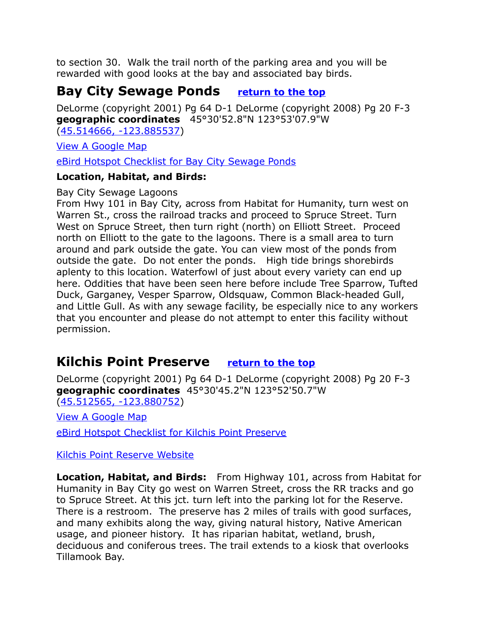to section 30. Walk the trail north of the parking area and you will be rewarded with good looks at the bay and associated bay birds.

## <span id="page-4-1"></span>**Bay City Sewage Ponds [return to the top](#page-0-0)**

DeLorme (copyright 2001) Pg 64 D-1 DeLorme (copyright 2008) Pg 20 F-3 **geographic coordinates** 45°30'52.8"N 123°53'07.9"W [\(45.514666, -123.885537\)](https://www.google.com/maps/place/45%C2%B030)

[View A Google Map](http://maps.google.com/maps/ms?hl=en&ie=UTF8&msa=0&msid=108036481085398338899.00046b3a9db08c9bbf540&ll=45.470725,-123.850937&spn=0.340438,0.55481&z=11)

[eBird Hotspot Checklist for Bay City Sewage Ponds](http://ebird.org/ebird/hotspot/L1060729)

#### **Location, Habitat, and Birds:**

#### Bay City Sewage Lagoons

From Hwy 101 in Bay City, across from Habitat for Humanity, turn west on Warren St., cross the railroad tracks and proceed to Spruce Street. Turn West on Spruce Street, then turn right (north) on Elliott Street. Proceed north on Elliott to the gate to the lagoons. There is a small area to turn around and park outside the gate. You can view most of the ponds from outside the gate. Do not enter the ponds. High tide brings shorebirds aplenty to this location. Waterfowl of just about every variety can end up here. Oddities that have been seen here before include Tree Sparrow, Tufted Duck, Garganey, Vesper Sparrow, Oldsquaw, Common Black-headed Gull, and Little Gull. As with any sewage facility, be especially nice to any workers that you encounter and please do not attempt to enter this facility without permission.

#### <span id="page-4-0"></span>**Kilchis Point Preserve [return to the top](#page-0-0)**

DeLorme (copyright 2001) Pg 64 D-1 DeLorme (copyright 2008) Pg 20 F-3 **geographic coordinates** 45°30'45.2"N 123°52'50.7"W [\(45.512565, -123.880752\)](https://www.google.com/maps/place/45%C2%B030)

[View A Google Map](http://maps.google.com/maps/ms?hl=en&ie=UTF8&msa=0&msid=108036481085398338899.00046b3a9db08c9bbf540&ll=45.470725,-123.850937&spn=0.340438,0.55481&z=11)

[eBird Hotspot Checklist for Kilchis Point Preserve](http://ebird.org/http:/ebird.org/ebird/hotspot/L2323959?yr=all&m=&rank=mrecebird/hotspot/L2323959?yr=all&m=&rank=mrec)

[Kilchis Point Reserve Website](http://www.tcpm.org/kilchispoint.htm)

**Location, Habitat, and Birds:** From Highway 101, across from Habitat for Humanity in Bay City go west on Warren Street, cross the RR tracks and go to Spruce Street. At this jct. turn left into the parking lot for the Reserve. There is a restroom. The preserve has 2 miles of trails with good surfaces, and many exhibits along the way, giving natural history, Native American usage, and pioneer history. It has riparian habitat, wetland, brush, deciduous and coniferous trees. The trail extends to a kiosk that overlooks Tillamook Bay.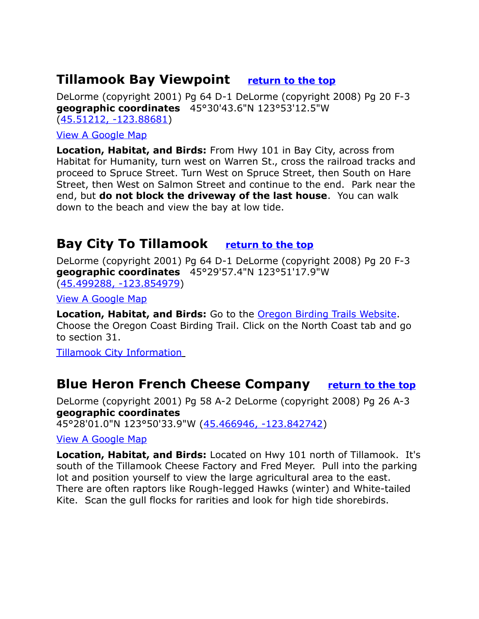#### <span id="page-5-0"></span>**Tillamook Bay Viewpoint [return to the top](#page-0-0)**

DeLorme (copyright 2001) Pg 64 D-1 DeLorme (copyright 2008) Pg 20 F-3 **geographic coordinates** 45°30'43.6"N 123°53'12.5"W [\(45.51212, -123.88681\)](https://www.google.com/maps/place/45%C2%B030)

#### [View A Google Map](http://maps.google.com/maps/ms?hl=en&ie=UTF8&msa=0&msid=108036481085398338899.00046b3a9db08c9bbf540&ll=45.470725,-123.850937&spn=0.340438,0.55481&z=11)

**Location, Habitat, and Birds:** From Hwy 101 in Bay City, across from Habitat for Humanity, turn west on Warren St., cross the railroad tracks and proceed to Spruce Street. Turn West on Spruce Street, then South on Hare Street, then West on Salmon Street and continue to the end. Park near the end, but **do not block the driveway of the last house**. You can walk down to the beach and view the bay at low tide.

#### <span id="page-5-2"></span>**Bay City To Tillamook [return to the top](#page-0-0)**

DeLorme (copyright 2001) Pg 64 D-1 DeLorme (copyright 2008) Pg 20 F-3 **geographic coordinates** 45°29'57.4"N 123°51'17.9"W [\(45.499288, -123.854979\)](https://www.google.com/maps/place/45%C2%B029)

[View A Google Map](http://maps.google.com/maps/ms?hl=en&ie=UTF8&msa=0&msid=108036481085398338899.00046b3a9db08c9bbf540&ll=45.470725,-123.850937&spn=0.340438,0.55481&z=11)

**Location, Habitat, and Birds:** Go to the [Oregon Birding Trails Website.](http://www.oregonbirdingtrails.org/) Choose the Oregon Coast Birding Trail. Click on the North Coast tab and go to section 31.

 [Tillamook City Information](http://www.citytowninfo.com/places/oregon/tillamook)

#### <span id="page-5-1"></span>**Blue Heron French Cheese Company [return to the top](#page-0-0)**

DeLorme (copyright 2001) Pg 58 A-2 DeLorme (copyright 2008) Pg 26 A-3 **geographic coordinates** 45°28'01.0"N 123°50'33.9"W [\(45.466946, -123.842742\)](https://www.google.com/maps/place/45%C2%B028)

#### [View A Google Map](http://maps.google.com/maps/ms?hl=en&ie=UTF8&msa=0&msid=108036481085398338899.00046b3a9db08c9bbf540&ll=45.470725,-123.850937&spn=0.340438,0.55481&z=11)

**Location, Habitat, and Birds:** Located on Hwy 101 north of Tillamook. It's south of the Tillamook Cheese Factory and Fred Meyer. Pull into the parking lot and position yourself to view the large agricultural area to the east. There are often raptors like Rough-legged Hawks (winter) and White-tailed Kite. Scan the gull flocks for rarities and look for high tide shorebirds.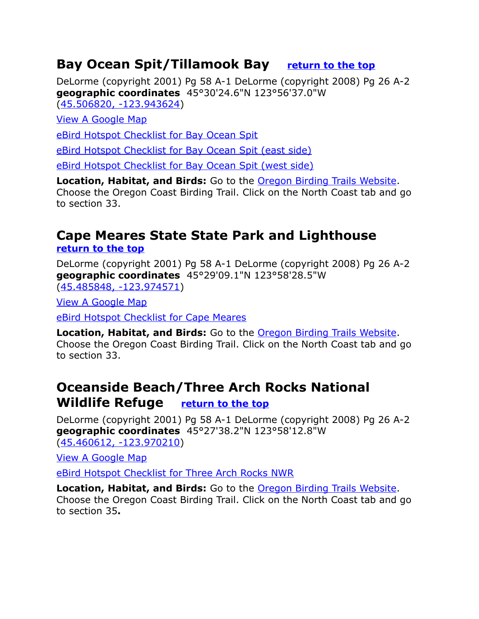#### <span id="page-6-0"></span>**Bay Ocean Spit/Tillamook Bay [return to the top](#page-0-0)**

DeLorme (copyright 2001) Pg 58 A-1 DeLorme (copyright 2008) Pg 26 A-2 **geographic coordinates** 45°30'24.6"N 123°56'37.0"W [\(45.506820, -123.943624\)](https://www.google.com/maps/place/45%C2%B030)

[View A Google Map](http://maps.google.com/maps/ms?hl=en&ie=UTF8&msa=0&msid=108036481085398338899.00046b3a9db08c9bbf540&ll=45.470725,-123.850937&spn=0.340438,0.55481&z=11)

[eBird Hotspot Checklist for Bay Ocean Spit](http://ebird.org/ebird/hotspot/L2198871)

[eBird Hotspot Checklist for Bay Ocean Spit \(east side\)](http://ebird.org/ebird/hotspot/L285627)

[eBird Hotspot Checklist for Bay Ocean Spit \(west side\)](http://ebird.org/ebird/hotspot/L686417)

**Location, Habitat, and Birds:** Go to the [Oregon Birding Trails Website.](http://www.oregonbirdingtrails.org/) Choose the Oregon Coast Birding Trail. Click on the North Coast tab and go to section 33.

# <span id="page-6-1"></span>**Cape Meares State State Park and Lighthouse**

**[return to the top](#page-0-0)**

DeLorme (copyright 2001) Pg 58 A-1 DeLorme (copyright 2008) Pg 26 A-2 **geographic coordinates** 45°29'09.1"N 123°58'28.5"W [\(45.485848, -123.974571\)](https://www.google.com/maps/place/45%C2%B029)

[View A Google Map](http://maps.google.com/maps/ms?hl=en&ie=UTF8&msa=0&msid=108036481085398338899.00046b3a9db08c9bbf540&ll=45.470725,-123.850937&spn=0.340438,0.55481&z=11)

[eBird Hotspot Checklist for Cape Meares](http://ebird.org/ebird/hotspot/L1110414)

**Location, Habitat, and Birds:** Go to the [Oregon Birding Trails Website.](http://www.oregonbirdingtrails.org/) Choose the Oregon Coast Birding Trail. Click on the North Coast tab and go to section 33.

## <span id="page-6-2"></span>**Oceanside Beach/Three Arch Rocks National Wildlife Refuge [return to the top](#page-0-0)**

DeLorme (copyright 2001) Pg 58 A-1 DeLorme (copyright 2008) Pg 26 A-2 **geographic coordinates** 45°27'38.2"N 123°58'12.8"W [\(45.460612, -123.970210\)](https://www.google.com/maps/place/45%C2%B027)

[View A Google Map](http://maps.google.com/maps/ms?hl=en&ie=UTF8&msa=0&msid=108036481085398338899.00046b3a9db08c9bbf540&ll=45.470725,-123.850937&spn=0.340438,0.55481&z=11)

[eBird Hotspot Checklist for Three Arch Rocks NWR](http://ebird.org/ebird/hotspot/L159609)

**Location, Habitat, and Birds:** Go to the [Oregon Birding Trails Website.](http://www.oregonbirdingtrails.org/) Choose the Oregon Coast Birding Trail. Click on the North Coast tab and go to section 35**.**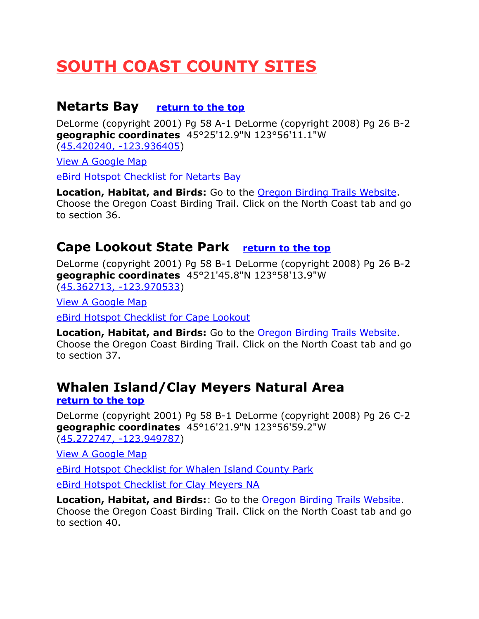# <span id="page-7-2"></span>**SOUTH COAST COUNTY SITES**

#### <span id="page-7-0"></span>**Netarts Bay [return to the top](#page-0-0)**

DeLorme (copyright 2001) Pg 58 A-1 DeLorme (copyright 2008) Pg 26 B-2 **geographic coordinates** 45°25'12.9"N 123°56'11.1"W [\(45.420240, -123.936405\)](https://www.google.com/maps/place/45%C2%B025)

[View A Google Map](http://maps.google.com/maps/ms?hl=en&ie=UTF8&msa=0&msid=108036481085398338899.00046b3a9db08c9bbf540&ll=45.470725,-123.850937&spn=0.340438,0.55481&z=11)

[eBird Hotspot Checklist for Netarts Bay](http://ebird.org/ebird/hotspot/L159589)

**Location, Habitat, and Birds:** Go to the [Oregon Birding Trails Website.](http://www.oregonbirdingtrails.org/) Choose the Oregon Coast Birding Trail. Click on the North Coast tab and go to section 36.

#### <span id="page-7-1"></span>**Cape Lookout State Park [return to the top](#page-0-0)**

DeLorme (copyright 2001) Pg 58 B-1 DeLorme (copyright 2008) Pg 26 B-2 **geographic coordinates** 45°21'45.8"N 123°58'13.9"W [\(45.362713, -123.970533\)](https://www.google.com/maps/place/45%C2%B021)

[View A Google Map](http://maps.google.com/maps/ms?hl=en&ie=UTF8&msa=0&msid=108036481085398338899.00046b3a9db08c9bbf540&ll=45.470725,-123.850937&spn=0.340438,0.55481&z=11)

[eBird Hotspot Checklist for Cape Lookout](http://ebird.org/ebird/hotspot/L587933)

**Location, Habitat, and Birds:** Go to the [Oregon Birding Trails Website.](http://www.oregonbirdingtrails.org/) Choose the Oregon Coast Birding Trail. Click on the North Coast tab and go to section 37.

## **Whalen Island/Clay Meyers Natural Area**

**[return to the top](#page-0-0)**

DeLorme (copyright 2001) Pg 58 B-1 DeLorme (copyright 2008) Pg 26 C-2 **geographic coordinates** 45°16'21.9"N 123°56'59.2"W [\(45.272747, -123.949787\)](https://www.google.com/maps/place/45%C2%B016)

[View A Google Map](http://maps.google.com/maps/ms?hl=en&ie=UTF8&msa=0&msid=108036481085398338899.00046b3ba280e7e9ee21f&ll=45.18978,-123.835144&spn=0.831369,2.108002&z=10)

[eBird Hotspot Checklist for Whalen Island County Park](http://ebird.org/ebird/hotspot/L781735)

[eBird Hotspot Checklist for Clay Meyers NA](http://ebird.org/ebird/hotspot/L500048)

**Location, Habitat, and Birds:**: Go to the [Oregon Birding Trails Website.](http://www.oregonbirdingtrails.org/) Choose the Oregon Coast Birding Trail. Click on the North Coast tab and go to section 40.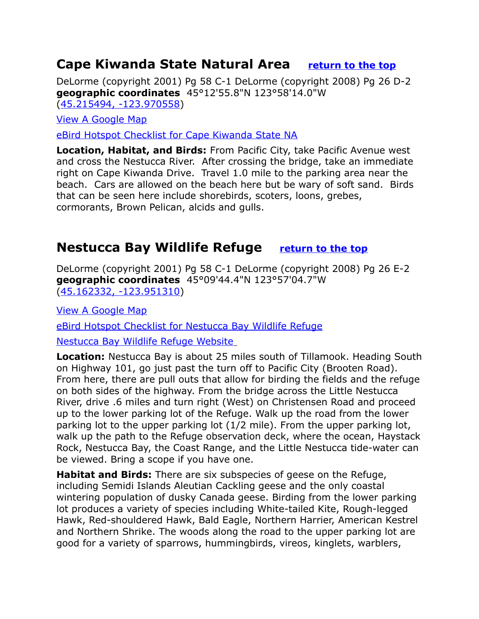#### <span id="page-8-0"></span>**Cape Kiwanda State Natural Area [return to the top](#page-0-0)**

DeLorme (copyright 2001) Pg 58 C-1 DeLorme (copyright 2008) Pg 26 D-2 **geographic coordinates** 45°12'55.8"N 123°58'14.0"W [\(45.215494, -123.970558\)](https://www.google.com/maps/place/45%C2%B012)

[View A Google Map](http://maps.google.com/maps/ms?hl=en&ie=UTF8&msa=0&msid=108036481085398338899.00046b3ba280e7e9ee21f&ll=45.18978,-123.835144&spn=0.831369,2.108002&z=10)

[eBird Hotspot Checklist for Cape Kiwanda State NA](http://ebird.org/ebird/hotspot/L285940)

**Location, Habitat, and Birds:** From Pacific City, take Pacific Avenue west and cross the Nestucca River. After crossing the bridge, take an immediate right on Cape Kiwanda Drive. Travel 1.0 mile to the parking area near the beach. Cars are allowed on the beach here but be wary of soft sand. Birds that can be seen here include shorebirds, scoters, loons, grebes, cormorants, Brown Pelican, alcids and gulls.

#### **Nestucca Bay Wildlife Refuge [return to the top](#page-0-0)**

DeLorme (copyright 2001) Pg 58 C-1 DeLorme (copyright 2008) Pg 26 E-2 **geographic coordinates** 45°09'44.4"N 123°57'04.7"W [\(45.162332, -123.951310\)](https://www.google.com/maps/place/45%C2%B009)

[View A Google Map](http://maps.google.com/maps/ms?hl=en&ie=UTF8&msa=0&msid=108036481085398338899.00046b3ba280e7e9ee21f&ll=45.18978,-123.835144&spn=0.831369,2.108002&z=10)

[eBird Hotspot Checklist for Nestucca Bay Wildlife Refuge](http://ebird.org/ebird/hotspot/L500052)

 [Nestucca Bay Wildlife Refuge Website](http://www.fws.gov/oregoncoast/nestuccabay/)

**Location:** Nestucca Bay is about 25 miles south of Tillamook. Heading South on Highway 101, go just past the turn off to Pacific City (Brooten Road). From here, there are pull outs that allow for birding the fields and the refuge on both sides of the highway. From the bridge across the Little Nestucca River, drive .6 miles and turn right (West) on Christensen Road and proceed up to the lower parking lot of the Refuge. Walk up the road from the lower parking lot to the upper parking lot (1/2 mile). From the upper parking lot, walk up the path to the Refuge observation deck, where the ocean, Haystack Rock, Nestucca Bay, the Coast Range, and the Little Nestucca tide-water can be viewed. Bring a scope if you have one.

**Habitat and Birds:** There are six subspecies of geese on the Refuge, including Semidi Islands Aleutian Cackling geese and the only coastal wintering population of dusky Canada geese. Birding from the lower parking lot produces a variety of species including White-tailed Kite, Rough-legged Hawk, Red-shouldered Hawk, Bald Eagle, Northern Harrier, American Kestrel and Northern Shrike. The woods along the road to the upper parking lot are good for a variety of sparrows, hummingbirds, vireos, kinglets, warblers,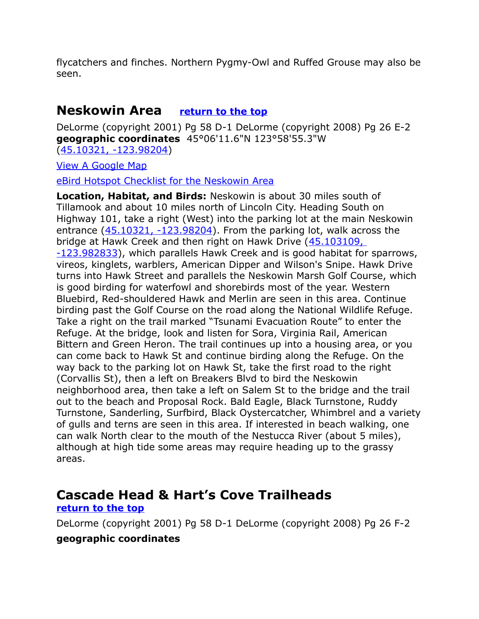flycatchers and finches. Northern Pygmy-Owl and Ruffed Grouse may also be seen.

#### <span id="page-9-1"></span>**Neskowin Area [return to the top](#page-0-0)**

DeLorme (copyright 2001) Pg 58 D-1 DeLorme (copyright 2008) Pg 26 E-2 **geographic coordinates** 45°06'11.6"N 123°58'55.3"W [\(45.10321, -123.98204\)](https://www.google.com/maps/place/45%C2%B006)

[View A Google Map](http://maps.google.com/maps/ms?hl=en&ie=UTF8&msa=0&msid=108036481085398338899.00046b3ba280e7e9ee21f&ll=45.18978,-123.835144&spn=0.831369,2.108002&z=10)

[eBird Hotspot Checklist for the Neskowin Area](http://ebird.org/ebird/hotspot/L1369441)

**Location, Habitat, and Birds:** Neskowin is about 30 miles south of Tillamook and about 10 miles north of Lincoln City. Heading South on Highway 101, take a right (West) into the parking lot at the main Neskowin entrance  $(45.10321, -123.98204)$ . From the parking lot, walk across the bridge at Hawk Creek and then right on Hawk Drive [\(45.103109,](https://www.google.com/maps/place/45%C2%B006)  [-123.982833\)](https://www.google.com/maps/place/45%C2%B006), which parallels Hawk Creek and is good habitat for sparrows, vireos, kinglets, warblers, American Dipper and Wilson's Snipe. Hawk Drive turns into Hawk Street and parallels the Neskowin Marsh Golf Course, which is good birding for waterfowl and shorebirds most of the year. Western Bluebird, Red-shouldered Hawk and Merlin are seen in this area. Continue birding past the Golf Course on the road along the National Wildlife Refuge. Take a right on the trail marked "Tsunami Evacuation Route" to enter the Refuge. At the bridge, look and listen for Sora, Virginia Rail, American Bittern and Green Heron. The trail continues up into a housing area, or you can come back to Hawk St and continue birding along the Refuge. On the way back to the parking lot on Hawk St, take the first road to the right (Corvallis St), then a left on Breakers Blvd to bird the Neskowin neighborhood area, then take a left on Salem St to the bridge and the trail out to the beach and Proposal Rock. Bald Eagle, Black Turnstone, Ruddy Turnstone, Sanderling, Surfbird, Black Oystercatcher, Whimbrel and a variety of gulls and terns are seen in this area. If interested in beach walking, one can walk North clear to the mouth of the Nestucca River (about 5 miles), although at high tide some areas may require heading up to the grassy areas.

## <span id="page-9-0"></span>**Cascade Head & Hart's Cove Trailheads**

#### **[return to the top](#page-0-0)**

DeLorme (copyright 2001) Pg 58 D-1 DeLorme (copyright 2008) Pg 26 F-2

#### **geographic coordinates**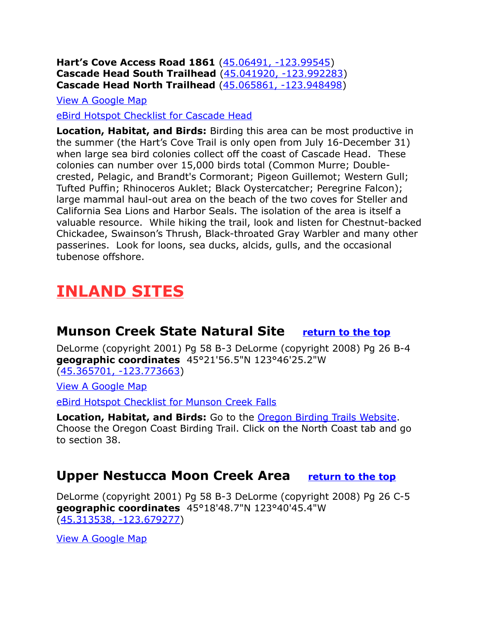```
Hart's Cove Access Road 1861 (45.06491, -123.99545) 
Cascade Head South Trailhead (45.041920, -123.992283) 
Cascade Head North Trailhead (45.065861, -123.948498)
```
[View A Google Map](http://maps.google.com/maps/ms?hl=en&ie=UTF8&msa=0&msid=108036481085398338899.00046b3ba280e7e9ee21f&ll=45.18978,-123.835144&spn=0.831369,2.108002&z=10)

[eBird Hotspot Checklist for Cascade Head](http://ebird.org/ebird/hotspot/L1154171)

**Location, Habitat, and Birds:** Birding this area can be most productive in the summer (the Hart's Cove Trail is only open from July 16-December 31) when large sea bird colonies collect off the coast of Cascade Head. These colonies can number over 15,000 birds total (Common Murre; Doublecrested, Pelagic, and Brandt's Cormorant; Pigeon Guillemot; Western Gull; Tufted Puffin; Rhinoceros Auklet; Black Oystercatcher; Peregrine Falcon); large mammal haul-out area on the beach of the two coves for Steller and California Sea Lions and Harbor Seals. The isolation of the area is itself a valuable resource. While hiking the trail, look and listen for Chestnut-backed Chickadee, Swainson's Thrush, Black-throated Gray Warbler and many other passerines. Look for loons, sea ducks, alcids, gulls, and the occasional tubenose offshore.

# <span id="page-10-2"></span>**INLAND SITES**

## <span id="page-10-1"></span>**Munson Creek State Natural Site [return to the top](#page-0-0)**

DeLorme (copyright 2001) Pg 58 B-3 DeLorme (copyright 2008) Pg 26 B-4 **geographic coordinates** 45°21'56.5"N 123°46'25.2"W [\(45.365701, -123.773663\)](https://www.google.com/maps/place/45%C2%B021)

[View A Google Map](http://maps.google.com/maps/ms?hl=en&ie=UTF8&msa=0&msid=108036481085398338899.00046b3a9db08c9bbf540&ll=45.470725,-123.850937&spn=0.340438,0.55481&z=11)

[eBird Hotspot Checklist for Munson Creek Falls](http://ebird.org/ebird/hotspot/L587937)

**Location, Habitat, and Birds:** Go to the [Oregon Birding Trails Website.](http://www.oregonbirdingtrails.org/) Choose the Oregon Coast Birding Trail. Click on the North Coast tab and go to section 38.

#### <span id="page-10-0"></span>**Upper Nestucca Moon Creek Area [return to the top](#page-0-0)**

DeLorme (copyright 2001) Pg 58 B-3 DeLorme (copyright 2008) Pg 26 C-5 **geographic coordinates** 45°18'48.7"N 123°40'45.4"W [\(45.313538, -123.679277\)](https://www.google.com/maps/place/45%C2%B018)

[View A Google Map](http://maps.google.com/maps/ms?hl=en&ie=UTF8&msa=0&msid=108036481085398338899.00046b3ba280e7e9ee21f&ll=45.18978,-123.835144&spn=0.831369,2.108002&z=10)